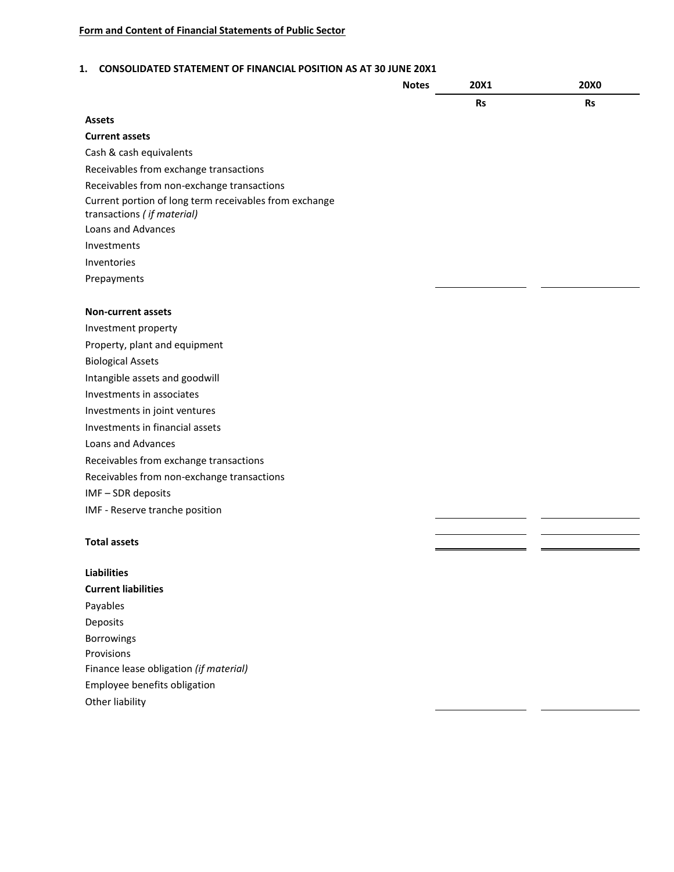#### **1. CONSOLIDATED STATEMENT OF FINANCIAL POSITION AS AT 30 JUNE 20X1**

|                                                                                      | <b>Notes</b> | 20X1      | <b>20X0</b> |
|--------------------------------------------------------------------------------------|--------------|-----------|-------------|
|                                                                                      |              | <b>Rs</b> | <b>Rs</b>   |
| <b>Assets</b>                                                                        |              |           |             |
| <b>Current assets</b>                                                                |              |           |             |
| Cash & cash equivalents                                                              |              |           |             |
| Receivables from exchange transactions                                               |              |           |             |
| Receivables from non-exchange transactions                                           |              |           |             |
| Current portion of long term receivables from exchange<br>transactions (if material) |              |           |             |
| Loans and Advances                                                                   |              |           |             |
| Investments                                                                          |              |           |             |
| Inventories                                                                          |              |           |             |
| Prepayments                                                                          |              |           |             |
|                                                                                      |              |           |             |
| <b>Non-current assets</b>                                                            |              |           |             |
| Investment property                                                                  |              |           |             |
| Property, plant and equipment                                                        |              |           |             |
| <b>Biological Assets</b>                                                             |              |           |             |
| Intangible assets and goodwill                                                       |              |           |             |
| Investments in associates                                                            |              |           |             |
| Investments in joint ventures                                                        |              |           |             |
| Investments in financial assets                                                      |              |           |             |
| Loans and Advances                                                                   |              |           |             |
| Receivables from exchange transactions                                               |              |           |             |
| Receivables from non-exchange transactions                                           |              |           |             |
| IMF-SDR deposits                                                                     |              |           |             |
| IMF - Reserve tranche position                                                       |              |           |             |
|                                                                                      |              |           |             |
| <b>Total assets</b>                                                                  |              |           |             |
| <b>Liabilities</b>                                                                   |              |           |             |
| <b>Current liabilities</b>                                                           |              |           |             |
| Payables                                                                             |              |           |             |
| Deposits                                                                             |              |           |             |
| Borrowings                                                                           |              |           |             |
| Provisions                                                                           |              |           |             |
| Finance lease obligation (if material)                                               |              |           |             |
| Employee benefits obligation                                                         |              |           |             |
| Other liability                                                                      |              |           |             |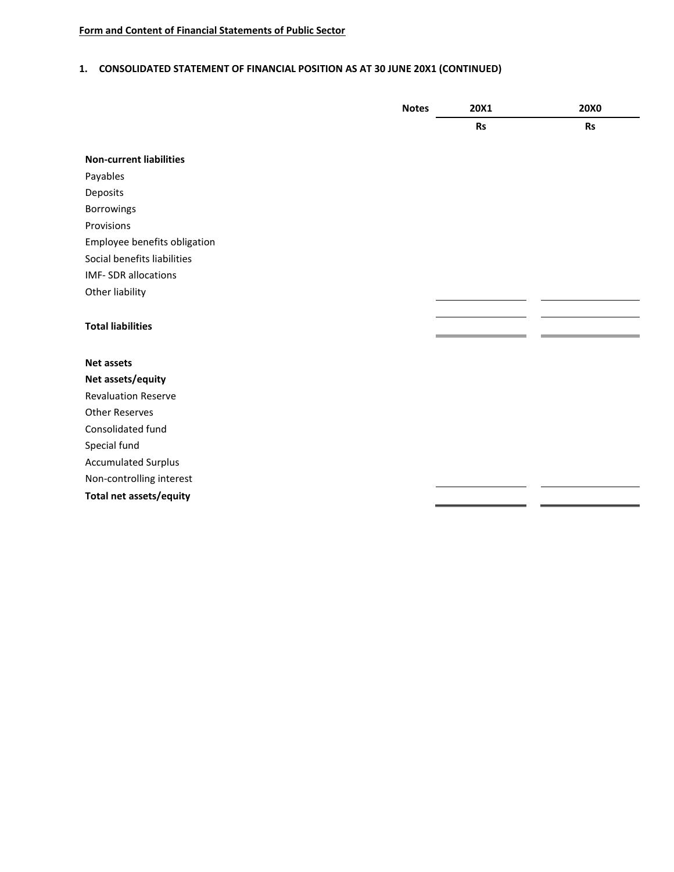# **1. CONSOLIDATED STATEMENT OF FINANCIAL POSITION AS AT 30 JUNE 20X1 (CONTINUED)**

|                                | <b>Notes</b> | 20X1      | <b>20X0</b> |
|--------------------------------|--------------|-----------|-------------|
|                                |              | <b>Rs</b> | <b>Rs</b>   |
| <b>Non-current liabilities</b> |              |           |             |
| Payables                       |              |           |             |
| Deposits                       |              |           |             |
| Borrowings                     |              |           |             |
| Provisions                     |              |           |             |
| Employee benefits obligation   |              |           |             |
| Social benefits liabilities    |              |           |             |
| <b>IMF-SDR</b> allocations     |              |           |             |
|                                |              |           |             |
| Other liability                |              |           |             |
|                                |              |           |             |
| <b>Total liabilities</b>       |              |           |             |
|                                |              |           |             |
| <b>Net assets</b>              |              |           |             |
| Net assets/equity              |              |           |             |
| <b>Revaluation Reserve</b>     |              |           |             |
| <b>Other Reserves</b>          |              |           |             |
| Consolidated fund              |              |           |             |
| Special fund                   |              |           |             |
| <b>Accumulated Surplus</b>     |              |           |             |
| Non-controlling interest       |              |           |             |
| Total net assets/equity        |              |           |             |
|                                |              |           |             |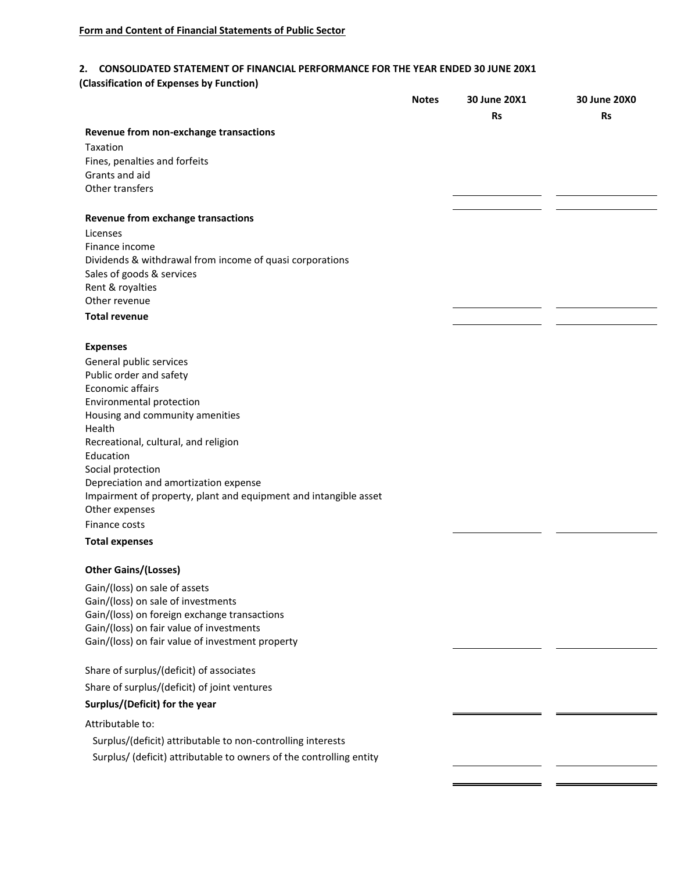### **2. CONSOLIDATED STATEMENT OF FINANCIAL PERFORMANCE FOR THE YEAR ENDED 30 JUNE 20X1**

**(Classification of Expenses by Function)**

|                                                                     | <b>Notes</b> | 30 June 20X1 | 30 June 20X0 |
|---------------------------------------------------------------------|--------------|--------------|--------------|
|                                                                     |              | <b>Rs</b>    | <b>Rs</b>    |
| Revenue from non-exchange transactions                              |              |              |              |
| Taxation                                                            |              |              |              |
| Fines, penalties and forfeits                                       |              |              |              |
| Grants and aid                                                      |              |              |              |
| Other transfers                                                     |              |              |              |
| Revenue from exchange transactions                                  |              |              |              |
| Licenses                                                            |              |              |              |
| Finance income                                                      |              |              |              |
| Dividends & withdrawal from income of quasi corporations            |              |              |              |
| Sales of goods & services                                           |              |              |              |
| Rent & royalties                                                    |              |              |              |
| Other revenue                                                       |              |              |              |
| <b>Total revenue</b>                                                |              |              |              |
|                                                                     |              |              |              |
| <b>Expenses</b><br>General public services                          |              |              |              |
| Public order and safety                                             |              |              |              |
| Economic affairs                                                    |              |              |              |
| Environmental protection                                            |              |              |              |
| Housing and community amenities                                     |              |              |              |
| Health                                                              |              |              |              |
| Recreational, cultural, and religion<br>Education                   |              |              |              |
| Social protection                                                   |              |              |              |
| Depreciation and amortization expense                               |              |              |              |
| Impairment of property, plant and equipment and intangible asset    |              |              |              |
| Other expenses                                                      |              |              |              |
| Finance costs                                                       |              |              |              |
| <b>Total expenses</b>                                               |              |              |              |
| <b>Other Gains/(Losses)</b>                                         |              |              |              |
| Gain/(loss) on sale of assets                                       |              |              |              |
| Gain/(loss) on sale of investments                                  |              |              |              |
| Gain/(loss) on foreign exchange transactions                        |              |              |              |
| Gain/(loss) on fair value of investments                            |              |              |              |
| Gain/(loss) on fair value of investment property                    |              |              |              |
| Share of surplus/(deficit) of associates                            |              |              |              |
| Share of surplus/(deficit) of joint ventures                        |              |              |              |
| Surplus/(Deficit) for the year                                      |              |              |              |
|                                                                     |              |              |              |
| Attributable to:                                                    |              |              |              |
| Surplus/(deficit) attributable to non-controlling interests         |              |              |              |
| Surplus/ (deficit) attributable to owners of the controlling entity |              |              |              |
|                                                                     |              |              |              |
|                                                                     |              |              |              |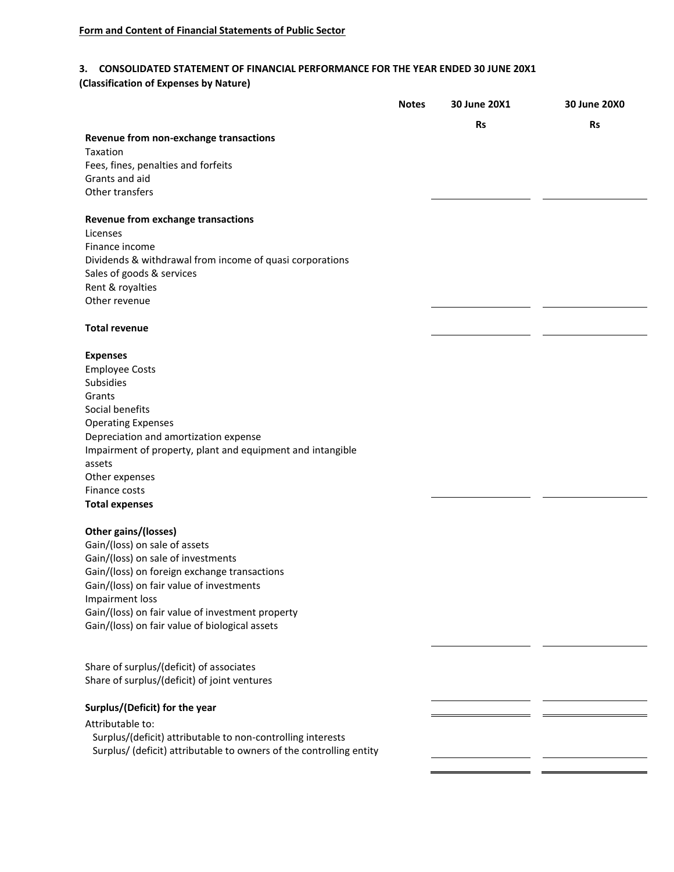## **3. CONSOLIDATED STATEMENT OF FINANCIAL PERFORMANCE FOR THE YEAR ENDED 30 JUNE 20X1**

**(Classification of Expenses by Nature)**

|                                                                            | <b>Notes</b> | 30 June 20X1 | 30 June 20X0 |
|----------------------------------------------------------------------------|--------------|--------------|--------------|
|                                                                            |              | <b>Rs</b>    | <b>Rs</b>    |
| Revenue from non-exchange transactions<br>Taxation                         |              |              |              |
| Fees, fines, penalties and forfeits                                        |              |              |              |
| Grants and aid                                                             |              |              |              |
| Other transfers                                                            |              |              |              |
| <b>Revenue from exchange transactions</b>                                  |              |              |              |
| Licenses                                                                   |              |              |              |
| Finance income                                                             |              |              |              |
| Dividends & withdrawal from income of quasi corporations                   |              |              |              |
| Sales of goods & services                                                  |              |              |              |
| Rent & royalties                                                           |              |              |              |
| Other revenue                                                              |              |              |              |
| <b>Total revenue</b>                                                       |              |              |              |
|                                                                            |              |              |              |
| <b>Expenses</b>                                                            |              |              |              |
| <b>Employee Costs</b>                                                      |              |              |              |
| Subsidies                                                                  |              |              |              |
| Grants                                                                     |              |              |              |
| Social benefits<br><b>Operating Expenses</b>                               |              |              |              |
| Depreciation and amortization expense                                      |              |              |              |
| Impairment of property, plant and equipment and intangible                 |              |              |              |
| assets                                                                     |              |              |              |
| Other expenses                                                             |              |              |              |
| Finance costs                                                              |              |              |              |
| <b>Total expenses</b>                                                      |              |              |              |
| Other gains/(losses)                                                       |              |              |              |
| Gain/(loss) on sale of assets                                              |              |              |              |
| Gain/(loss) on sale of investments                                         |              |              |              |
| Gain/(loss) on foreign exchange transactions                               |              |              |              |
| Gain/(loss) on fair value of investments                                   |              |              |              |
| <b>Impairment loss</b><br>Gain/(loss) on fair value of investment property |              |              |              |
| Gain/(loss) on fair value of biological assets                             |              |              |              |
|                                                                            |              |              |              |
|                                                                            |              |              |              |
| Share of surplus/(deficit) of associates                                   |              |              |              |
| Share of surplus/(deficit) of joint ventures                               |              |              |              |
| Surplus/(Deficit) for the year                                             |              |              |              |
| Attributable to:                                                           |              |              |              |
| Surplus/(deficit) attributable to non-controlling interests                |              |              |              |
| Surplus/ (deficit) attributable to owners of the controlling entity        |              |              |              |
|                                                                            |              |              |              |
|                                                                            |              |              |              |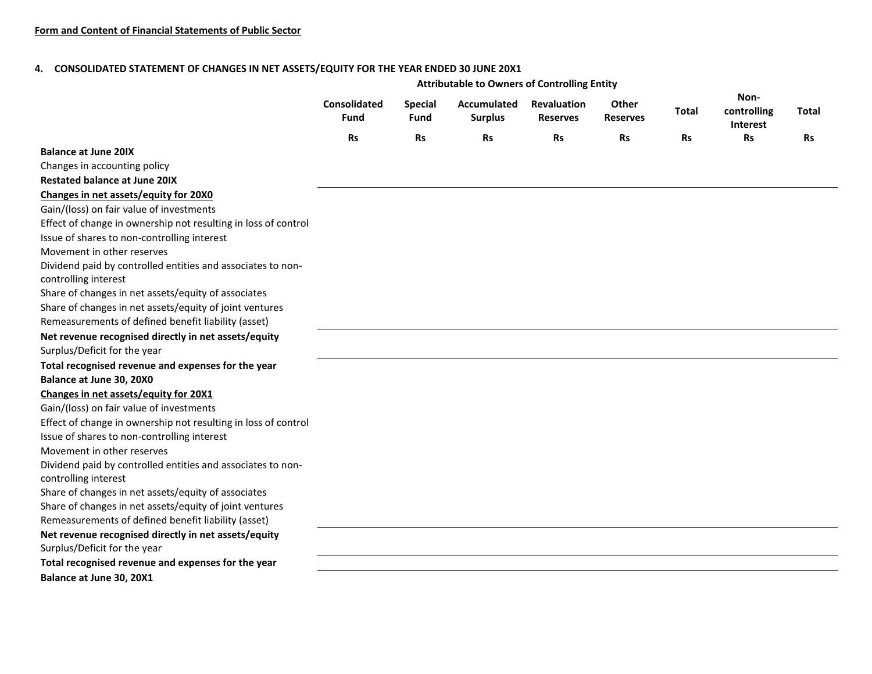#### **4. CONSOLIDATED STATEMENT OF CHANGES IN NET ASSETS/EQUITY FOR THE YEAR ENDED 30 JUNE 20X1**

|                                                                |                                    |                        | <b>Attributable to Owners of Controlling Entity</b> |                                       |                          |           |                                 |           |
|----------------------------------------------------------------|------------------------------------|------------------------|-----------------------------------------------------|---------------------------------------|--------------------------|-----------|---------------------------------|-----------|
|                                                                | <b>Consolidated</b><br><b>Fund</b> | <b>Special</b><br>Fund | Accumulated<br><b>Surplus</b>                       | <b>Revaluation</b><br><b>Reserves</b> | Other<br><b>Reserves</b> | Total     | Non-<br>controlling<br>Interest | Total     |
|                                                                | <b>Rs</b>                          | <b>Rs</b>              | <b>Rs</b>                                           | <b>Rs</b>                             | <b>Rs</b>                | <b>Rs</b> | <b>Rs</b>                       | <b>Rs</b> |
| <b>Balance at June 20IX</b>                                    |                                    |                        |                                                     |                                       |                          |           |                                 |           |
| Changes in accounting policy                                   |                                    |                        |                                                     |                                       |                          |           |                                 |           |
| <b>Restated balance at June 20IX</b>                           |                                    |                        |                                                     |                                       |                          |           |                                 |           |
| Changes in net assets/equity for 20X0                          |                                    |                        |                                                     |                                       |                          |           |                                 |           |
| Gain/(loss) on fair value of investments                       |                                    |                        |                                                     |                                       |                          |           |                                 |           |
| Effect of change in ownership not resulting in loss of control |                                    |                        |                                                     |                                       |                          |           |                                 |           |
| Issue of shares to non-controlling interest                    |                                    |                        |                                                     |                                       |                          |           |                                 |           |
| Movement in other reserves                                     |                                    |                        |                                                     |                                       |                          |           |                                 |           |
| Dividend paid by controlled entities and associates to non-    |                                    |                        |                                                     |                                       |                          |           |                                 |           |
| controlling interest                                           |                                    |                        |                                                     |                                       |                          |           |                                 |           |
| Share of changes in net assets/equity of associates            |                                    |                        |                                                     |                                       |                          |           |                                 |           |
| Share of changes in net assets/equity of joint ventures        |                                    |                        |                                                     |                                       |                          |           |                                 |           |
| Remeasurements of defined benefit liability (asset)            |                                    |                        |                                                     |                                       |                          |           |                                 |           |
| Net revenue recognised directly in net assets/equity           |                                    |                        |                                                     |                                       |                          |           |                                 |           |
| Surplus/Deficit for the year                                   |                                    |                        |                                                     |                                       |                          |           |                                 |           |
| Total recognised revenue and expenses for the year             |                                    |                        |                                                     |                                       |                          |           |                                 |           |
| Balance at June 30, 20X0                                       |                                    |                        |                                                     |                                       |                          |           |                                 |           |
| Changes in net assets/equity for 20X1                          |                                    |                        |                                                     |                                       |                          |           |                                 |           |
| Gain/(loss) on fair value of investments                       |                                    |                        |                                                     |                                       |                          |           |                                 |           |
| Effect of change in ownership not resulting in loss of control |                                    |                        |                                                     |                                       |                          |           |                                 |           |
| Issue of shares to non-controlling interest                    |                                    |                        |                                                     |                                       |                          |           |                                 |           |
| Movement in other reserves                                     |                                    |                        |                                                     |                                       |                          |           |                                 |           |
| Dividend paid by controlled entities and associates to non-    |                                    |                        |                                                     |                                       |                          |           |                                 |           |
| controlling interest                                           |                                    |                        |                                                     |                                       |                          |           |                                 |           |
| Share of changes in net assets/equity of associates            |                                    |                        |                                                     |                                       |                          |           |                                 |           |
| Share of changes in net assets/equity of joint ventures        |                                    |                        |                                                     |                                       |                          |           |                                 |           |
| Remeasurements of defined benefit liability (asset)            |                                    |                        |                                                     |                                       |                          |           |                                 |           |
| Net revenue recognised directly in net assets/equity           |                                    |                        |                                                     |                                       |                          |           |                                 |           |
| Surplus/Deficit for the year                                   |                                    |                        |                                                     |                                       |                          |           |                                 |           |
| Total recognised revenue and expenses for the year             |                                    |                        |                                                     |                                       |                          |           |                                 |           |
| Balance at June 30, 20X1                                       |                                    |                        |                                                     |                                       |                          |           |                                 |           |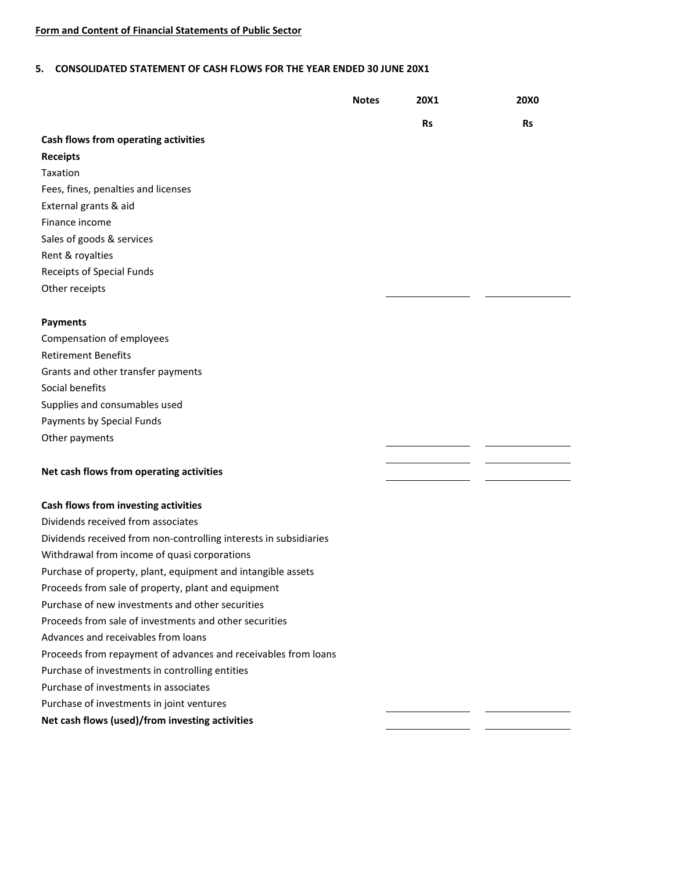#### **5. CONSOLIDATED STATEMENT OF CASH FLOWS FOR THE YEAR ENDED 30 JUNE 20X1**

|                                                                   | <b>Notes</b> | <b>20X1</b> | <b>20X0</b> |
|-------------------------------------------------------------------|--------------|-------------|-------------|
|                                                                   |              | <b>Rs</b>   | <b>Rs</b>   |
| Cash flows from operating activities                              |              |             |             |
| <b>Receipts</b>                                                   |              |             |             |
| Taxation                                                          |              |             |             |
| Fees, fines, penalties and licenses                               |              |             |             |
| External grants & aid                                             |              |             |             |
| Finance income                                                    |              |             |             |
| Sales of goods & services                                         |              |             |             |
| Rent & royalties                                                  |              |             |             |
| <b>Receipts of Special Funds</b>                                  |              |             |             |
| Other receipts                                                    |              |             |             |
|                                                                   |              |             |             |
| <b>Payments</b>                                                   |              |             |             |
| Compensation of employees                                         |              |             |             |
| <b>Retirement Benefits</b>                                        |              |             |             |
| Grants and other transfer payments                                |              |             |             |
| Social benefits                                                   |              |             |             |
| Supplies and consumables used                                     |              |             |             |
| Payments by Special Funds                                         |              |             |             |
| Other payments                                                    |              |             |             |
|                                                                   |              |             |             |
| Net cash flows from operating activities                          |              |             |             |
|                                                                   |              |             |             |
| Cash flows from investing activities                              |              |             |             |
| Dividends received from associates                                |              |             |             |
| Dividends received from non-controlling interests in subsidiaries |              |             |             |
| Withdrawal from income of quasi corporations                      |              |             |             |
| Purchase of property, plant, equipment and intangible assets      |              |             |             |
| Proceeds from sale of property, plant and equipment               |              |             |             |
| Purchase of new investments and other securities                  |              |             |             |
| Proceeds from sale of investments and other securities            |              |             |             |
| Advances and receivables from loans                               |              |             |             |
| Proceeds from repayment of advances and receivables from loans    |              |             |             |
| Purchase of investments in controlling entities                   |              |             |             |
| Purchase of investments in associates                             |              |             |             |
| Purchase of investments in joint ventures                         |              |             |             |
| Net cash flows (used)/from investing activities                   |              |             |             |
|                                                                   |              |             |             |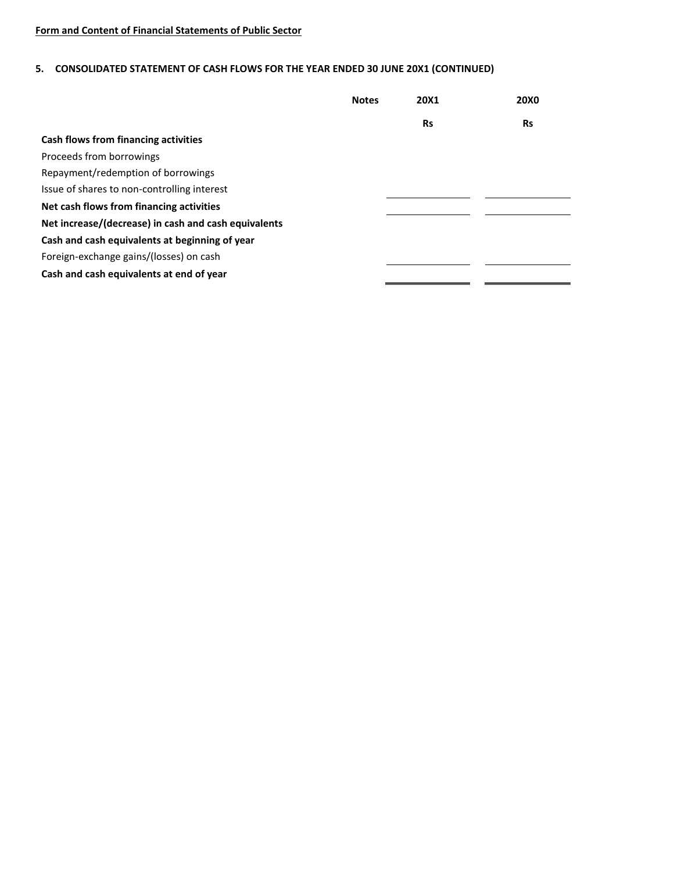# **5. CONSOLIDATED STATEMENT OF CASH FLOWS FOR THE YEAR ENDED 30 JUNE 20X1 (CONTINUED)**

|                                                      | <b>Notes</b> | 20X1      | <b>20X0</b> |
|------------------------------------------------------|--------------|-----------|-------------|
|                                                      |              | <b>Rs</b> | <b>Rs</b>   |
| Cash flows from financing activities                 |              |           |             |
| Proceeds from borrowings                             |              |           |             |
| Repayment/redemption of borrowings                   |              |           |             |
| Issue of shares to non-controlling interest          |              |           |             |
| Net cash flows from financing activities             |              |           |             |
| Net increase/(decrease) in cash and cash equivalents |              |           |             |
| Cash and cash equivalents at beginning of year       |              |           |             |
| Foreign-exchange gains/(losses) on cash              |              |           |             |
| Cash and cash equivalents at end of year             |              |           |             |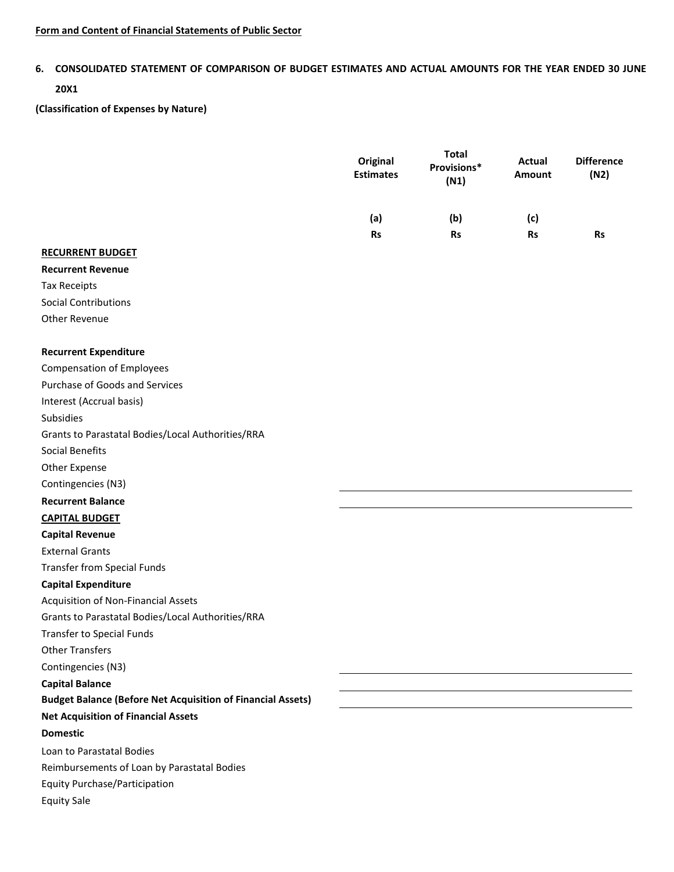# **6. CONSOLIDATED STATEMENT OF COMPARISON OF BUDGET ESTIMATES AND ACTUAL AMOUNTS FOR THE YEAR ENDED 30 JUNE**

# **20X1**

**(Classification of Expenses by Nature)**

|                                                                    | Original<br><b>Estimates</b> | <b>Total</b><br>Provisions*<br>(N1) | Actual<br><b>Amount</b> | <b>Difference</b><br>(N2) |
|--------------------------------------------------------------------|------------------------------|-------------------------------------|-------------------------|---------------------------|
|                                                                    | (a)                          | (b)                                 | (c)                     |                           |
|                                                                    | <b>Rs</b>                    | <b>Rs</b>                           | <b>Rs</b>               | <b>Rs</b>                 |
| <b>RECURRENT BUDGET</b>                                            |                              |                                     |                         |                           |
| <b>Recurrent Revenue</b>                                           |                              |                                     |                         |                           |
| <b>Tax Receipts</b>                                                |                              |                                     |                         |                           |
| <b>Social Contributions</b>                                        |                              |                                     |                         |                           |
| Other Revenue                                                      |                              |                                     |                         |                           |
| <b>Recurrent Expenditure</b>                                       |                              |                                     |                         |                           |
| <b>Compensation of Employees</b>                                   |                              |                                     |                         |                           |
| Purchase of Goods and Services                                     |                              |                                     |                         |                           |
| Interest (Accrual basis)                                           |                              |                                     |                         |                           |
| Subsidies                                                          |                              |                                     |                         |                           |
| Grants to Parastatal Bodies/Local Authorities/RRA                  |                              |                                     |                         |                           |
| Social Benefits                                                    |                              |                                     |                         |                           |
| Other Expense                                                      |                              |                                     |                         |                           |
| Contingencies (N3)                                                 |                              |                                     |                         |                           |
| <b>Recurrent Balance</b>                                           |                              |                                     |                         |                           |
| <b>CAPITAL BUDGET</b>                                              |                              |                                     |                         |                           |
| <b>Capital Revenue</b>                                             |                              |                                     |                         |                           |
| <b>External Grants</b>                                             |                              |                                     |                         |                           |
| <b>Transfer from Special Funds</b>                                 |                              |                                     |                         |                           |
| <b>Capital Expenditure</b>                                         |                              |                                     |                         |                           |
| Acquisition of Non-Financial Assets                                |                              |                                     |                         |                           |
| Grants to Parastatal Bodies/Local Authorities/RRA                  |                              |                                     |                         |                           |
| <b>Transfer to Special Funds</b>                                   |                              |                                     |                         |                           |
| <b>Other Transfers</b>                                             |                              |                                     |                         |                           |
| Contingencies (N3)                                                 |                              |                                     |                         |                           |
| <b>Capital Balance</b>                                             |                              |                                     |                         |                           |
| <b>Budget Balance (Before Net Acquisition of Financial Assets)</b> |                              |                                     |                         |                           |
| <b>Net Acquisition of Financial Assets</b>                         |                              |                                     |                         |                           |
| <b>Domestic</b>                                                    |                              |                                     |                         |                           |
| Loan to Parastatal Bodies                                          |                              |                                     |                         |                           |
| Reimbursements of Loan by Parastatal Bodies                        |                              |                                     |                         |                           |
| <b>Equity Purchase/Participation</b>                               |                              |                                     |                         |                           |
| <b>Equity Sale</b>                                                 |                              |                                     |                         |                           |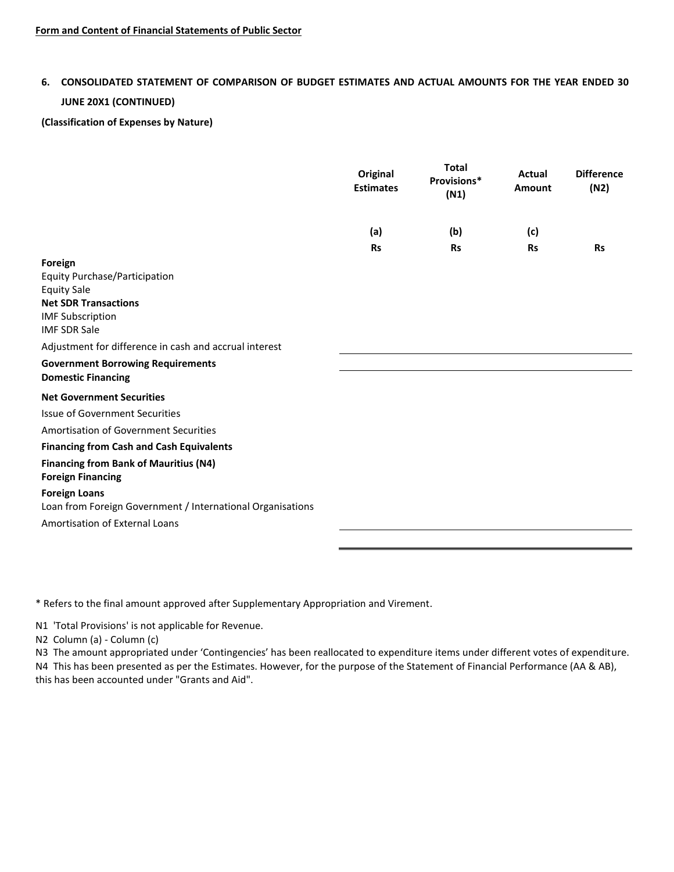# **6. CONSOLIDATED STATEMENT OF COMPARISON OF BUDGET ESTIMATES AND ACTUAL AMOUNTS FOR THE YEAR ENDED 30 JUNE 20X1 (CONTINUED)**

**(Classification of Expenses by Nature)**

|                                                                                                                                                                                                                                                                                           | Original<br><b>Estimates</b> | <b>Total</b><br>Provisions*<br>(N1) | Actual<br>Amount | <b>Difference</b><br>(N2) |
|-------------------------------------------------------------------------------------------------------------------------------------------------------------------------------------------------------------------------------------------------------------------------------------------|------------------------------|-------------------------------------|------------------|---------------------------|
|                                                                                                                                                                                                                                                                                           | (a)                          | (b)                                 | (c)              |                           |
|                                                                                                                                                                                                                                                                                           | <b>Rs</b>                    | <b>Rs</b>                           | <b>Rs</b>        | <b>Rs</b>                 |
| Foreign<br><b>Equity Purchase/Participation</b><br><b>Equity Sale</b><br><b>Net SDR Transactions</b><br><b>IMF Subscription</b><br><b>IMF SDR Sale</b><br>Adjustment for difference in cash and accrual interest<br><b>Government Borrowing Requirements</b><br><b>Domestic Financing</b> |                              |                                     |                  |                           |
| <b>Net Government Securities</b>                                                                                                                                                                                                                                                          |                              |                                     |                  |                           |
| <b>Issue of Government Securities</b>                                                                                                                                                                                                                                                     |                              |                                     |                  |                           |
| Amortisation of Government Securities                                                                                                                                                                                                                                                     |                              |                                     |                  |                           |
| <b>Financing from Cash and Cash Equivalents</b>                                                                                                                                                                                                                                           |                              |                                     |                  |                           |
| <b>Financing from Bank of Mauritius (N4)</b><br><b>Foreign Financing</b>                                                                                                                                                                                                                  |                              |                                     |                  |                           |
| <b>Foreign Loans</b><br>Loan from Foreign Government / International Organisations                                                                                                                                                                                                        |                              |                                     |                  |                           |
| Amortisation of External Loans                                                                                                                                                                                                                                                            |                              |                                     |                  |                           |

\* Refers to the final amount approved after Supplementary Appropriation and Virement.

N1 'Total Provisions' is not applicable for Revenue.

N2 Column (a) - Column (c)

N3 The amount appropriated under 'Contingencies' has been reallocated to expenditure items under different votes of expenditure. N4 This has been presented as per the Estimates. However, for the purpose of the Statement of Financial Performance (AA & AB), this has been accounted under "Grants and Aid".